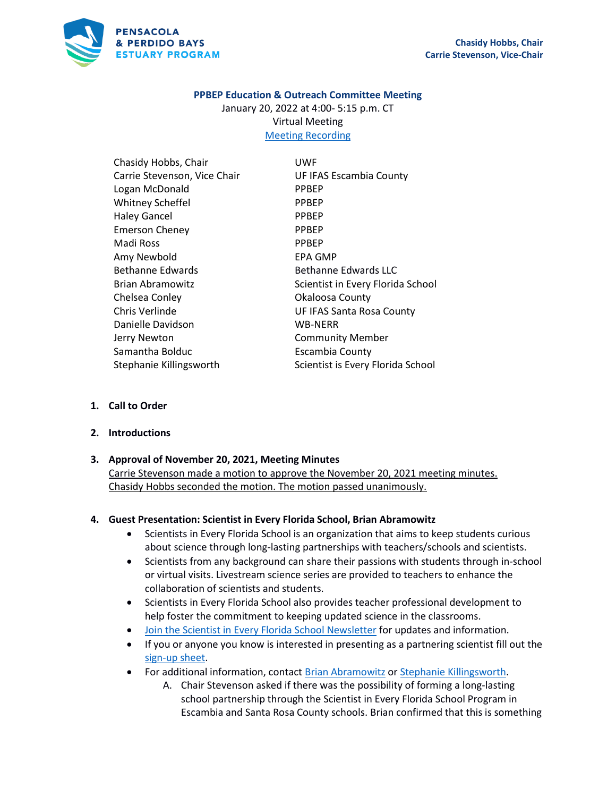

#### **PPBEP Education & Outreach Committee Meeting**

January 20, 2022 at 4:00- 5:15 p.m. CT Virtual Meeting [Meeting Recording](https://us02web.zoom.us/rec/share/1GwoRwRi62ko3AJmMMIatmgzIMyJZa6_E5A8XpoXx--QJJD6CxcBePpe5z7B-Mcm.r-Zv2oZv72NuWLrA)

Chasidy Hobbs, Chair Carrie Stevenson, Vice Chair Logan McDonald Whitney Scheffel Haley Gancel Emerson Cheney Madi Ross Amy Newbold Bethanne Edwards Brian Abramowitz Chelsea Conley Chris Verlinde Danielle Davidson Jerry Newton Samantha Bolduc Stephanie Killingsworth UWF UF IFAS Escambia County PPBEP PPBEP PPBEP PPBEP PPBEP EPA GMP Bethanne Edwards LLC Scientist in Every Florida School Okaloosa County UF IFAS Santa Rosa County WB-NERR Community Member Escambia County Scientist is Every Florida School

- **1. Call to Order**
- **2. Introductions**

#### **3. Approval of November 20, 2021, Meeting Minutes**

Carrie Stevenson made a motion to approve the November 20, 2021 meeting minutes. Chasidy Hobbs seconded the motion. The motion passed unanimously.

#### **4. Guest Presentation: Scientist in Every Florida School, Brian Abramowitz**

- Scientists in Every Florida School is an organization that aims to keep students curious about science through long-lasting partnerships with teachers/schools and scientists.
- Scientists from any background can share their passions with students through in-school or virtual visits. Livestream science series are provided to teachers to enhance the collaboration of scientists and students.
- Scientists in Every Florida School also provides teacher professional development to help foster the commitment to keeping updated science in the classrooms.
- [Join the Scientist in Every Florida School Newsletter](https://mailchi.mp/e944c738490b/scientistscope) for updates and information.
- If you or anyone you know is interested in presenting as a partnering scientist fill out the [sign-up sheet.](https://docs.google.com/forms/d/e/1FAIpQLSeWd6vFHFcVzTLVjuwzYd60ndSMBljWjTKEShUcl88sYusl0w/viewform)
- For additional information, contact [Brian Abramowitz](mailto:babramowitz@floridamuseum.ufl.edu) o[r Stephanie Killingsworth.](mailto:skillingsworth@floridamuseum.ufl.edu)
	- A. Chair Stevenson asked if there was the possibility of forming a long-lasting school partnership through the Scientist in Every Florida School Program in Escambia and Santa Rosa County schools. Brian confirmed that this is something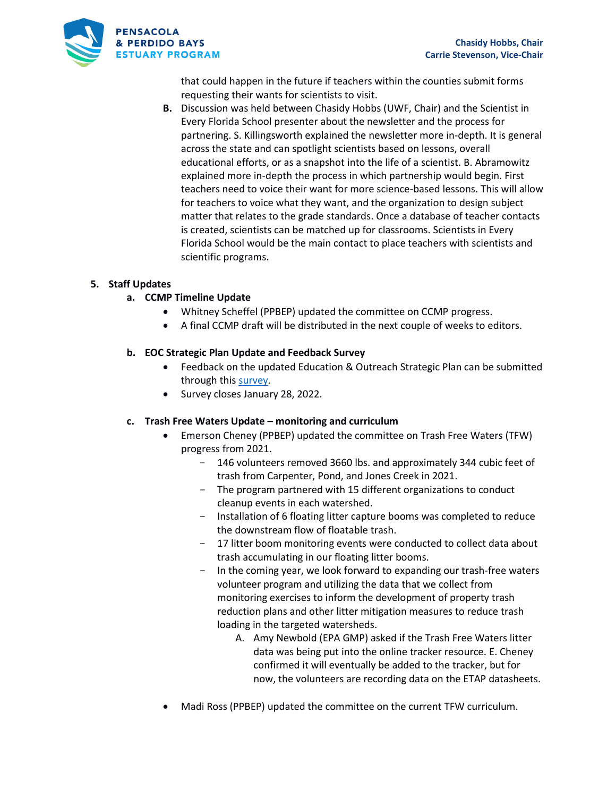

that could happen in the future if teachers within the counties submit forms requesting their wants for scientists to visit.

**B.** Discussion was held between Chasidy Hobbs (UWF, Chair) and the Scientist in Every Florida School presenter about the newsletter and the process for partnering. S. Killingsworth explained the newsletter more in-depth. It is general across the state and can spotlight scientists based on lessons, overall educational efforts, or as a snapshot into the life of a scientist. B. Abramowitz explained more in-depth the process in which partnership would begin. First teachers need to voice their want for more science-based lessons. This will allow for teachers to voice what they want, and the organization to design subject matter that relates to the grade standards. Once a database of teacher contacts is created, scientists can be matched up for classrooms. Scientists in Every Florida School would be the main contact to place teachers with scientists and scientific programs.

## **5. Staff Updates**

#### **a. CCMP Timeline Update**

- Whitney Scheffel (PPBEP) updated the committee on CCMP progress.
- A final CCMP draft will be distributed in the next couple of weeks to editors.

#### **b. EOC Strategic Plan Update and Feedback Survey**

- Feedback on the updated Education & Outreach Strategic Plan can be submitted through this [survey.](https://conta.cc/3qeVfGm)
- Survey closes January 28, 2022.

#### **c. Trash Free Waters Update – monitoring and curriculum**

- Emerson Cheney (PPBEP) updated the committee on Trash Free Waters (TFW) progress from 2021.
	- 146 volunteers removed 3660 lbs. and approximately 344 cubic feet of trash from Carpenter, Pond, and Jones Creek in 2021.
	- The program partnered with 15 different organizations to conduct cleanup events in each watershed.
	- Installation of 6 floating litter capture booms was completed to reduce the downstream flow of floatable trash.
	- 17 litter boom monitoring events were conducted to collect data about trash accumulating in our floating litter booms.
	- In the coming year, we look forward to expanding our trash-free waters volunteer program and utilizing the data that we collect from monitoring exercises to inform the development of property trash reduction plans and other litter mitigation measures to reduce trash loading in the targeted watersheds.
		- A. Amy Newbold (EPA GMP) asked if the Trash Free Waters litter data was being put into the online tracker resource. E. Cheney confirmed it will eventually be added to the tracker, but for now, the volunteers are recording data on the ETAP datasheets.
- Madi Ross (PPBEP) updated the committee on the current TFW curriculum.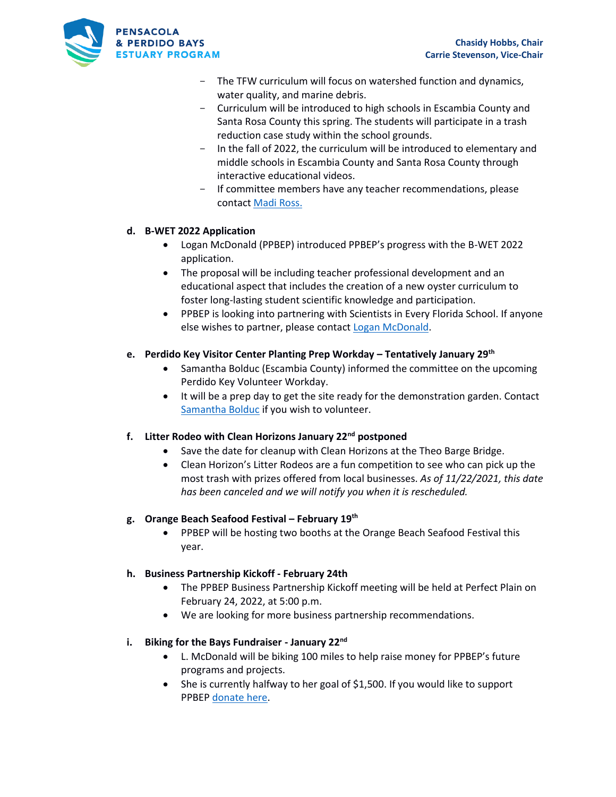

- The TFW curriculum will focus on watershed function and dynamics, water quality, and marine debris.
- Curriculum will be introduced to high schools in Escambia County and Santa Rosa County this spring. The students will participate in a trash reduction case study within the school grounds.
- In the fall of 2022, the curriculum will be introduced to elementary and middle schools in Escambia County and Santa Rosa County through interactive educational videos.
- If committee members have any teacher recommendations, please contact [Madi Ross.](mailto:mtross@ppbep.org)

## **d. B-WET 2022 Application**

- Logan McDonald (PPBEP) introduced PPBEP's progress with the B-WET 2022 application.
- The proposal will be including teacher professional development and an educational aspect that includes the creation of a new oyster curriculum to foster long-lasting student scientific knowledge and participation.
- PPBEP is looking into partnering with Scientists in Every Florida School. If anyone else wishes to partner, please contact [Logan McDonald.](mailto:lmcdonald@ppbep.org)

# **e. Perdido Key Visitor Center Planting Prep Workday – Tentatively January 29th**

- Samantha Bolduc (Escambia County) informed the committee on the upcoming Perdido Key Volunteer Workday.
- It will be a prep day to get the site ready for the demonstration garden. Contact [Samantha Bolduc](mailto:smbolduc@myescambia.com) if you wish to volunteer.

## **f. Litter Rodeo with Clean Horizons January 22nd postponed**

- Save the date for cleanup with Clean Horizons at the Theo Barge Bridge.
- Clean Horizon's Litter Rodeos are a fun competition to see who can pick up the most trash with prizes offered from local businesses. *As of 11/22/2021, this date has been canceled and we will notify you when it is rescheduled.*

## **g. Orange Beach Seafood Festival – February 19th**

• PPBEP will be hosting two booths at the Orange Beach Seafood Festival this year.

## **h. Business Partnership Kickoff - February 24th**

- The PPBEP Business Partnership Kickoff meeting will be held at Perfect Plain on February 24, 2022, at 5:00 p.m.
- We are looking for more business partnership recommendations.

## **i. Biking for the Bays Fundraiser - January 22nd**

- L. McDonald will be biking 100 miles to help raise money for PPBEP's future programs and projects.
- She is currently halfway to her goal of \$1,500. If you would like to support PPBEP [donate here.](https://www.gofundme.com/f/biking-for-the-bays?utm_source=customer&utm_medium=copy_link&utm_campaign=p_cf+share-flow-1)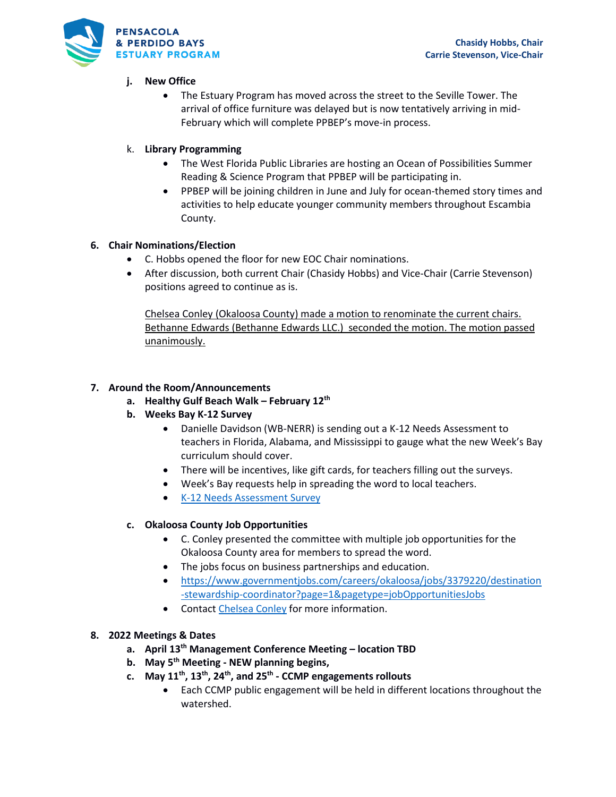

# **j. New Office**

• The Estuary Program has moved across the street to the Seville Tower. The arrival of office furniture was delayed but is now tentatively arriving in mid-February which will complete PPBEP's move-in process.

# k. **Library Programming**

- The West Florida Public Libraries are hosting an Ocean of Possibilities Summer Reading & Science Program that PPBEP will be participating in.
- PPBEP will be joining children in June and July for ocean-themed story times and activities to help educate younger community members throughout Escambia County.

# **6. Chair Nominations/Election**

- C. Hobbs opened the floor for new EOC Chair nominations.
- After discussion, both current Chair (Chasidy Hobbs) and Vice-Chair (Carrie Stevenson) positions agreed to continue as is.

Chelsea Conley (Okaloosa County) made a motion to renominate the current chairs. Bethanne Edwards (Bethanne Edwards LLC.) seconded the motion. The motion passed unanimously.

## **7. Around the Room/Announcements**

- **a. Healthy Gulf Beach Walk – February 12th**
- **b. Weeks Bay K-12 Survey** 
	- Danielle Davidson (WB-NERR) is sending out a K-12 Needs Assessment to teachers in Florida, Alabama, and Mississippi to gauge what the new Week's Bay curriculum should cover.
	- There will be incentives, like gift cards, for teachers filling out the surveys.
	- Week's Bay requests help in spreading the word to local teachers.
	- [K-12 Needs Assessment Survey](https://www.surveymonkey.com/r/T5J9CXF)

# **c. Okaloosa County Job Opportunities**

- C. Conley presented the committee with multiple job opportunities for the Okaloosa County area for members to spread the word.
- The jobs focus on business partnerships and education.
- [https://www.governmentjobs.com/careers/okaloosa/jobs/3379220/destination](https://www.governmentjobs.com/careers/okaloosa/jobs/3379220/destination-stewardship-coordinator?page=1&pagetype=jobOpportunitiesJobs) [-stewardship-coordinator?page=1&pagetype=jobOpportunitiesJobs](https://www.governmentjobs.com/careers/okaloosa/jobs/3379220/destination-stewardship-coordinator?page=1&pagetype=jobOpportunitiesJobs)
- Contact [Chelsea Conley](mailto:cconley@myokaloosa.com) for more information.

## **8. 2022 Meetings & Dates**

- **a. April 13th Management Conference Meeting – location TBD**
- **b. May 5 th Meeting - NEW planning begins,**
- **c. May 11th, 13th, 24th, and 25th - CCMP engagements rollouts**
	- Each CCMP public engagement will be held in different locations throughout the watershed.